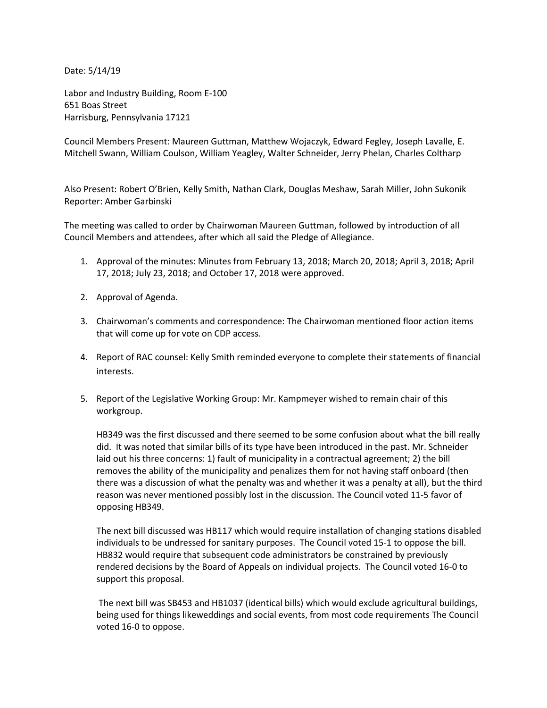Date: 5/14/19

Labor and Industry Building, Room E-100 651 Boas Street Harrisburg, Pennsylvania 17121

Council Members Present: Maureen Guttman, Matthew Wojaczyk, Edward Fegley, Joseph Lavalle, E. Mitchell Swann, William Coulson, William Yeagley, Walter Schneider, Jerry Phelan, Charles Coltharp

Also Present: Robert O'Brien, Kelly Smith, Nathan Clark, Douglas Meshaw, Sarah Miller, John Sukonik Reporter: Amber Garbinski

The meeting was called to order by Chairwoman Maureen Guttman, followed by introduction of all Council Members and attendees, after which all said the Pledge of Allegiance.

- 1. Approval of the minutes: Minutes from February 13, 2018; March 20, 2018; April 3, 2018; April 17, 2018; July 23, 2018; and October 17, 2018 were approved.
- 2. Approval of Agenda.
- 3. Chairwoman's comments and correspondence: The Chairwoman mentioned floor action items that will come up for vote on CDP access.
- 4. Report of RAC counsel: Kelly Smith reminded everyone to complete their statements of financial interests.
- 5. Report of the Legislative Working Group: Mr. Kampmeyer wished to remain chair of this workgroup.

HB349 was the first discussed and there seemed to be some confusion about what the bill really did. It was noted that similar bills of its type have been introduced in the past. Mr. Schneider laid out his three concerns: 1) fault of municipality in a contractual agreement; 2) the bill removes the ability of the municipality and penalizes them for not having staff onboard (then there was a discussion of what the penalty was and whether it was a penalty at all), but the third reason was never mentioned possibly lost in the discussion. The Council voted 11-5 favor of opposing HB349.

The next bill discussed was HB117 which would require installation of changing stations disabled individuals to be undressed for sanitary purposes. The Council voted 15-1 to oppose the bill. HB832 would require that subsequent code administrators be constrained by previously rendered decisions by the Board of Appeals on individual projects. The Council voted 16-0 to support this proposal.

The next bill was SB453 and HB1037 (identical bills) which would exclude agricultural buildings, being used for things likeweddings and social events, from most code requirements The Council voted 16-0 to oppose.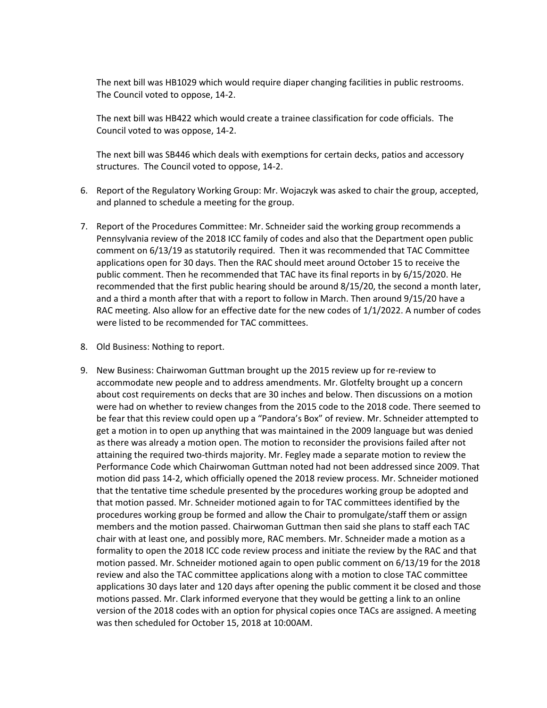The next bill was HB1029 which would require diaper changing facilities in public restrooms. The Council voted to oppose, 14-2.

The next bill was HB422 which would create a trainee classification for code officials. The Council voted to was oppose, 14-2.

The next bill was SB446 which deals with exemptions for certain decks, patios and accessory structures. The Council voted to oppose, 14-2.

- 6. Report of the Regulatory Working Group: Mr. Wojaczyk was asked to chair the group, accepted, and planned to schedule a meeting for the group.
- 7. Report of the Procedures Committee: Mr. Schneider said the working group recommends a Pennsylvania review of the 2018 ICC family of codes and also that the Department open public comment on 6/13/19 as statutorily required. Then it was recommended that TAC Committee applications open for 30 days. Then the RAC should meet around October 15 to receive the public comment. Then he recommended that TAC have its final reports in by 6/15/2020. He recommended that the first public hearing should be around 8/15/20, the second a month later, and a third a month after that with a report to follow in March. Then around 9/15/20 have a RAC meeting. Also allow for an effective date for the new codes of 1/1/2022. A number of codes were listed to be recommended for TAC committees.
- 8. Old Business: Nothing to report.
- 9. New Business: Chairwoman Guttman brought up the 2015 review up for re-review to accommodate new people and to address amendments. Mr. Glotfelty brought up a concern about cost requirements on decks that are 30 inches and below. Then discussions on a motion were had on whether to review changes from the 2015 code to the 2018 code. There seemed to be fear that this review could open up a "Pandora's Box" of review. Mr. Schneider attempted to get a motion in to open up anything that was maintained in the 2009 language but was denied as there was already a motion open. The motion to reconsider the provisions failed after not attaining the required two-thirds majority. Mr. Fegley made a separate motion to review the Performance Code which Chairwoman Guttman noted had not been addressed since 2009. That motion did pass 14-2, which officially opened the 2018 review process. Mr. Schneider motioned that the tentative time schedule presented by the procedures working group be adopted and that motion passed. Mr. Schneider motioned again to for TAC committees identified by the procedures working group be formed and allow the Chair to promulgate/staff them or assign members and the motion passed. Chairwoman Guttman then said she plans to staff each TAC chair with at least one, and possibly more, RAC members. Mr. Schneider made a motion as a formality to open the 2018 ICC code review process and initiate the review by the RAC and that motion passed. Mr. Schneider motioned again to open public comment on 6/13/19 for the 2018 review and also the TAC committee applications along with a motion to close TAC committee applications 30 days later and 120 days after opening the public comment it be closed and those motions passed. Mr. Clark informed everyone that they would be getting a link to an online version of the 2018 codes with an option for physical copies once TACs are assigned. A meeting was then scheduled for October 15, 2018 at 10:00AM.